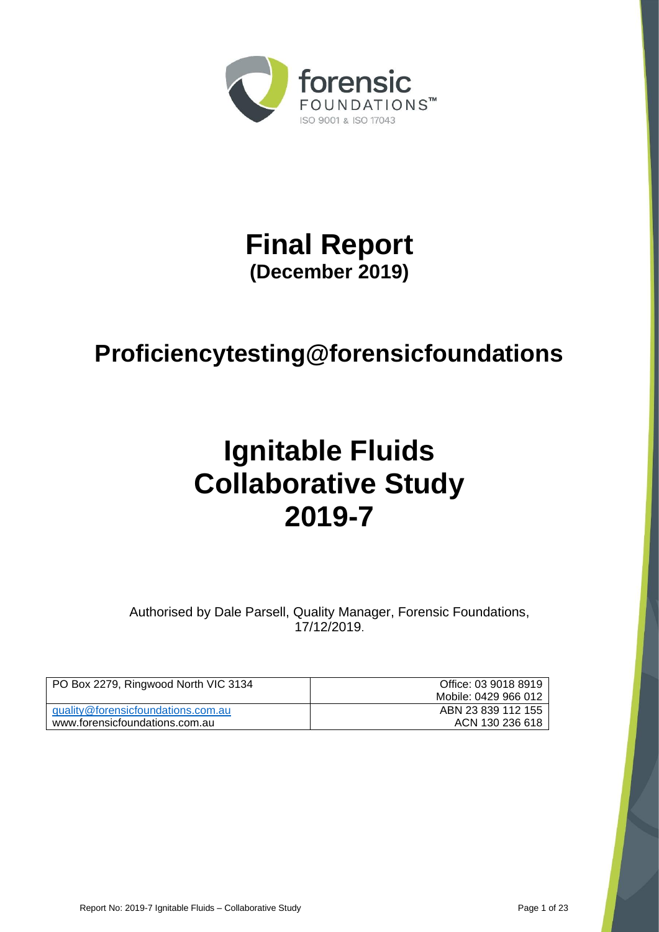

# **Final Report (December 2019)**

# **Proficiencytesting@forensicfoundations**

# **Ignitable Fluids Collaborative Study 2019-7**

Authorised by Dale Parsell, Quality Manager, Forensic Foundations, 17/12/2019.

| PO Box 2279, Ringwood North VIC 3134 | Office: 03 9018 8919 |
|--------------------------------------|----------------------|
|                                      | Mobile: 0429 966 012 |
| quality@forensicfoundations.com.au   | ABN 23 839 112 155   |
| www.forensicfoundations.com.au       | ACN 130 236 618      |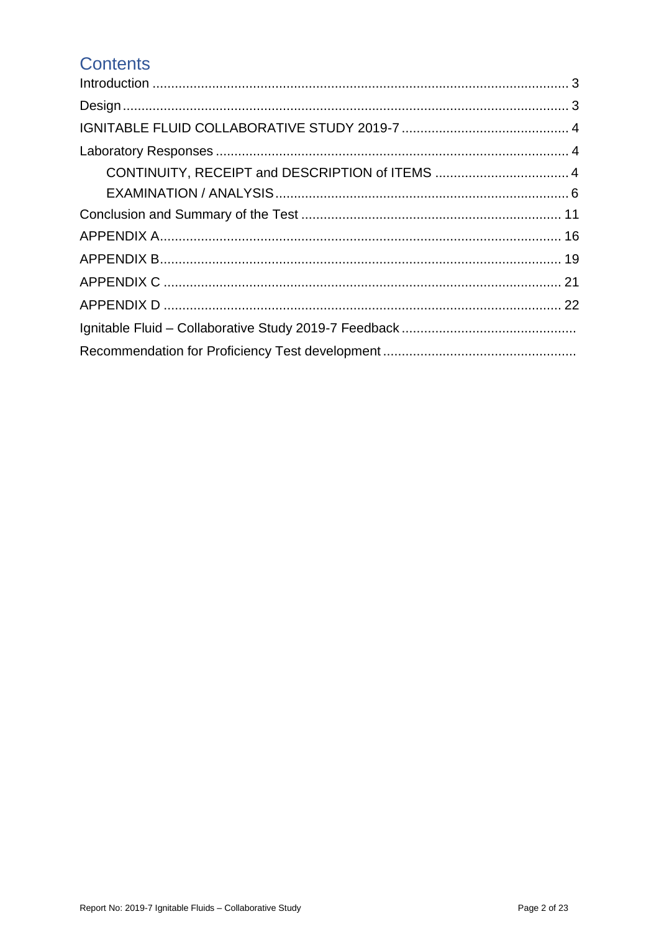## **Contents**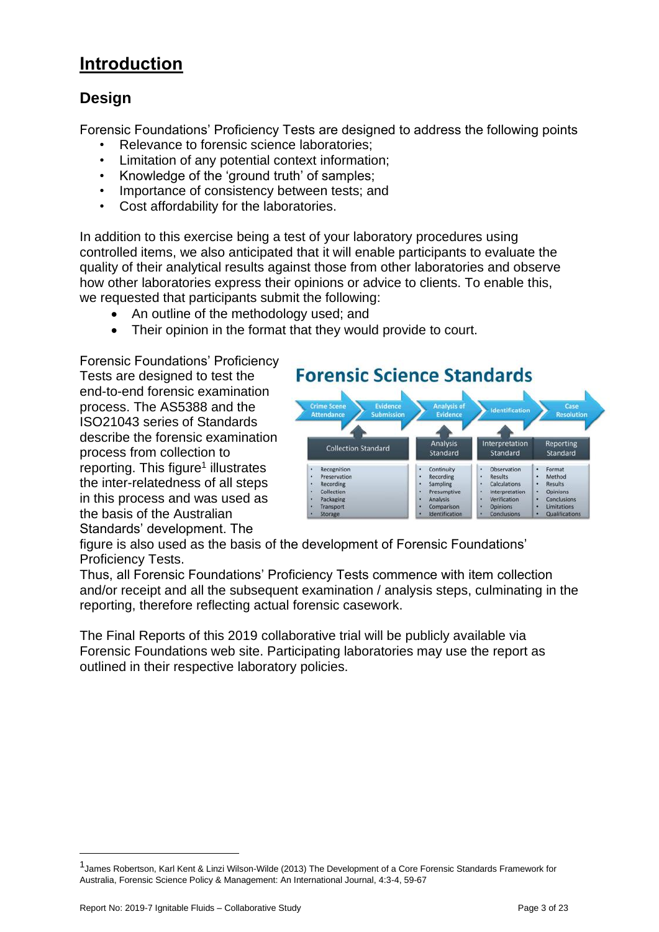## <span id="page-2-0"></span>**Introduction**

## <span id="page-2-1"></span>**Design**

Forensic Foundations' Proficiency Tests are designed to address the following points

- Relevance to forensic science laboratories:
- Limitation of any potential context information;
- Knowledge of the 'ground truth' of samples;
- Importance of consistency between tests; and
- Cost affordability for the laboratories.

In addition to this exercise being a test of your laboratory procedures using controlled items, we also anticipated that it will enable participants to evaluate the quality of their analytical results against those from other laboratories and observe how other laboratories express their opinions or advice to clients. To enable this, we requested that participants submit the following:

- An outline of the methodology used; and
- Their opinion in the format that they would provide to court.

Forensic Foundations' Proficiency Tests are designed to test the end-to-end forensic examination process. The AS5388 and the ISO21043 series of Standards describe the forensic examination process from collection to reporting. This figure<sup>1</sup> illustrates the inter-relatedness of all steps in this process and was used as the basis of the Australian Standards' development. The



figure is also used as the basis of the development of Forensic Foundations' Proficiency Tests.

Thus, all Forensic Foundations' Proficiency Tests commence with item collection and/or receipt and all the subsequent examination / analysis steps, culminating in the reporting, therefore reflecting actual forensic casework.

The Final Reports of this 2019 collaborative trial will be publicly available via Forensic Foundations web site. Participating laboratories may use the report as outlined in their respective laboratory policies.

<sup>1</sup> James Robertson, Karl Kent & Linzi Wilson-Wilde (2013) The Development of a Core Forensic Standards Framework for Australia, Forensic Science Policy & Management: An International Journal, 4:3-4, 59-67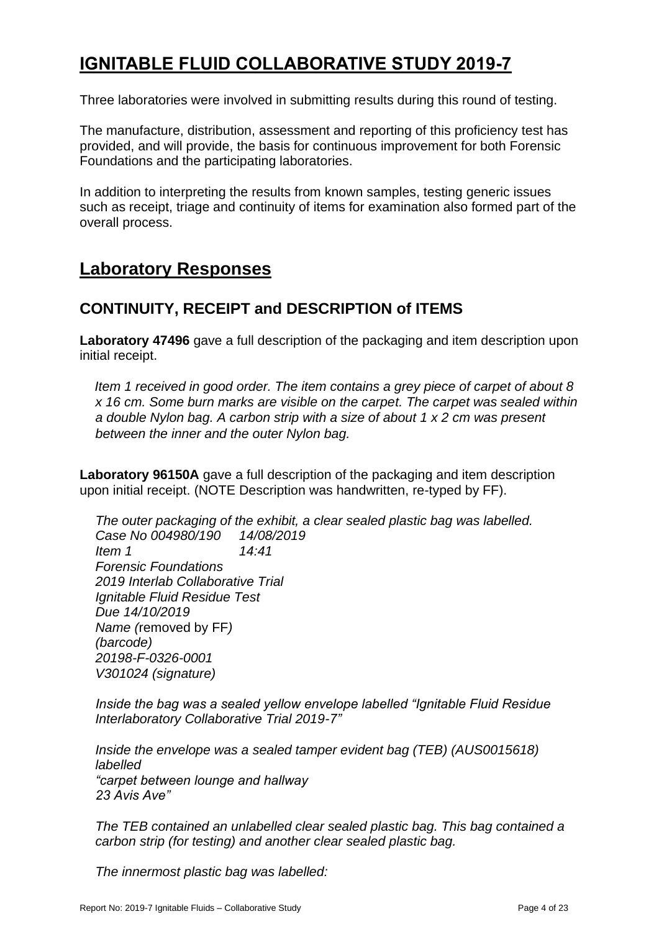## <span id="page-3-0"></span>**IGNITABLE FLUID COLLABORATIVE STUDY 2019-7**

Three laboratories were involved in submitting results during this round of testing.

The manufacture, distribution, assessment and reporting of this proficiency test has provided, and will provide, the basis for continuous improvement for both Forensic Foundations and the participating laboratories.

In addition to interpreting the results from known samples, testing generic issues such as receipt, triage and continuity of items for examination also formed part of the overall process.

## <span id="page-3-1"></span>**Laboratory Responses**

## <span id="page-3-2"></span>**CONTINUITY, RECEIPT and DESCRIPTION of ITEMS**

**Laboratory 47496** gave a full description of the packaging and item description upon initial receipt.

*Item 1 received in good order. The item contains a grey piece of carpet of about 8 x 16 cm. Some burn marks are visible on the carpet. The carpet was sealed within a double Nylon bag. A carbon strip with a size of about 1 x 2 cm was present between the inner and the outer Nylon bag.* 

**Laboratory 96150A** gave a full description of the packaging and item description upon initial receipt. (NOTE Description was handwritten, re-typed by FF).

*The outer packaging of the exhibit, a clear sealed plastic bag was labelled. Case No 004980/190 14/08/2019 Item 1 14:41 Forensic Foundations 2019 Interlab Collaborative Trial Ignitable Fluid Residue Test Due 14/10/2019 Name (*removed by FF*) (barcode) 20198-F-0326-0001 V301024 (signature)*

*Inside the bag was a sealed yellow envelope labelled "Ignitable Fluid Residue Interlaboratory Collaborative Trial 2019-7"*

*Inside the envelope was a sealed tamper evident bag (TEB) (AUS0015618) labelled "carpet between lounge and hallway 23 Avis Ave"*

*The TEB contained an unlabelled clear sealed plastic bag. This bag contained a carbon strip (for testing) and another clear sealed plastic bag.*

*The innermost plastic bag was labelled:*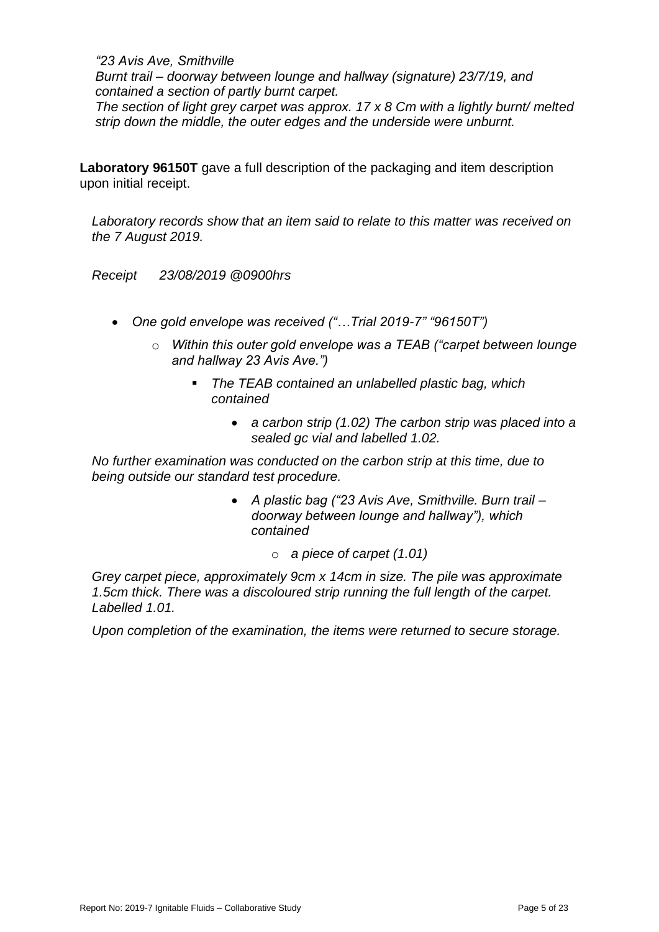*"23 Avis Ave, Smithville*

*Burnt trail – doorway between lounge and hallway (signature) 23/7/19, and contained a section of partly burnt carpet.*

*The section of light grey carpet was approx. 17 x 8 Cm with a lightly burnt/ melted strip down the middle, the outer edges and the underside were unburnt.*

**Laboratory 96150T** gave a full description of the packaging and item description upon initial receipt.

*Laboratory records show that an item said to relate to this matter was received on the 7 August 2019.* 

*Receipt 23/08/2019 @0900hrs*

- *One gold envelope was received ("…Trial 2019-7" "96150T")*
	- o *Within this outer gold envelope was a TEAB ("carpet between lounge and hallway 23 Avis Ave.")* 
		- **The TEAB contained an unlabelled plastic bag, which** *contained* 
			- *a carbon strip (1.02) The carbon strip was placed into a sealed gc vial and labelled 1.02.*

*No further examination was conducted on the carbon strip at this time, due to being outside our standard test procedure.*

- *A plastic bag ("23 Avis Ave, Smithville. Burn trail – doorway between lounge and hallway"), which contained*
	- o *a piece of carpet (1.01)*

*Grey carpet piece, approximately 9cm x 14cm in size. The pile was approximate 1.5cm thick. There was a discoloured strip running the full length of the carpet. Labelled 1.01.*

*Upon completion of the examination, the items were returned to secure storage.*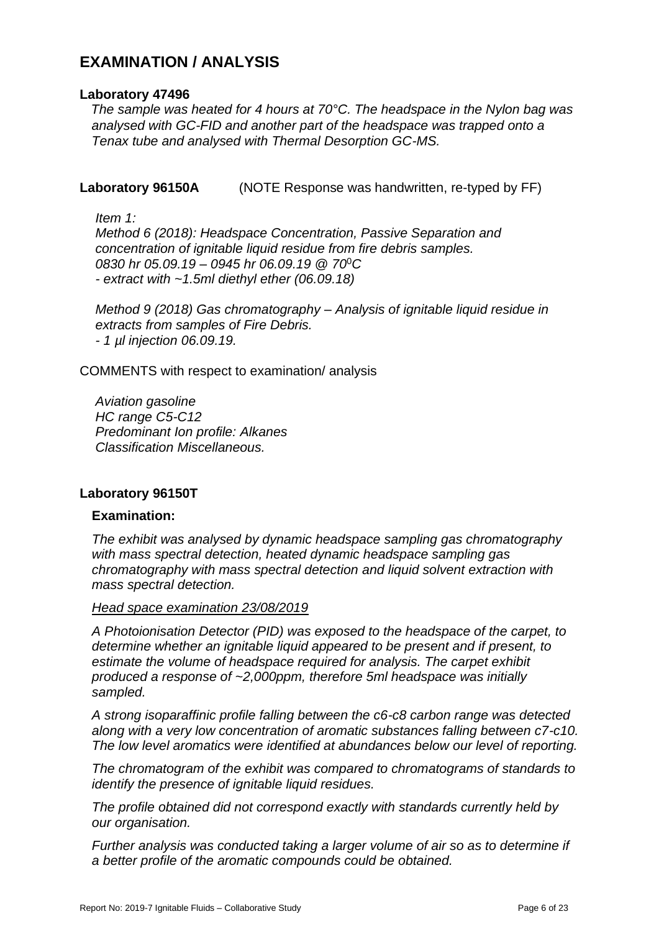#### <span id="page-5-0"></span>**EXAMINATION / ANALYSIS**

#### **Laboratory 47496**

*The sample was heated for 4 hours at 70°C. The headspace in the Nylon bag was analysed with GC-FID and another part of the headspace was trapped onto a Tenax tube and analysed with Thermal Desorption GC-MS.* 

#### **Laboratory 96150A** (NOTE Response was handwritten, re-typed by FF)

*Item 1: Method 6 (2018): Headspace Concentration, Passive Separation and concentration of ignitable liquid residue from fire debris samples. 0830 hr 05.09.19 – 0945 hr 06.09.19 @ 70* <sup>0</sup>*C - extract with ~1.5ml diethyl ether (06.09.18)*

*Method 9 (2018) Gas chromatography – Analysis of ignitable liquid residue in extracts from samples of Fire Debris. - 1 µl injection 06.09.19.*

COMMENTS with respect to examination/ analysis

*Aviation gasoline HC range C5-C12 Predominant Ion profile: Alkanes Classification Miscellaneous.*

#### **Laboratory 96150T**

#### **Examination:**

*The exhibit was analysed by dynamic headspace sampling gas chromatography with mass spectral detection, heated dynamic headspace sampling gas chromatography with mass spectral detection and liquid solvent extraction with mass spectral detection.*

#### *Head space examination 23/08/2019*

*A Photoionisation Detector (PID) was exposed to the headspace of the carpet, to determine whether an ignitable liquid appeared to be present and if present, to estimate the volume of headspace required for analysis. The carpet exhibit produced a response of ~2,000ppm, therefore 5ml headspace was initially sampled.* 

*A strong isoparaffinic profile falling between the c6-c8 carbon range was detected along with a very low concentration of aromatic substances falling between c7-c10. The low level aromatics were identified at abundances below our level of reporting.*

*The chromatogram of the exhibit was compared to chromatograms of standards to identify the presence of ignitable liquid residues.*

*The profile obtained did not correspond exactly with standards currently held by our organisation.*

*Further analysis was conducted taking a larger volume of air so as to determine if a better profile of the aromatic compounds could be obtained.*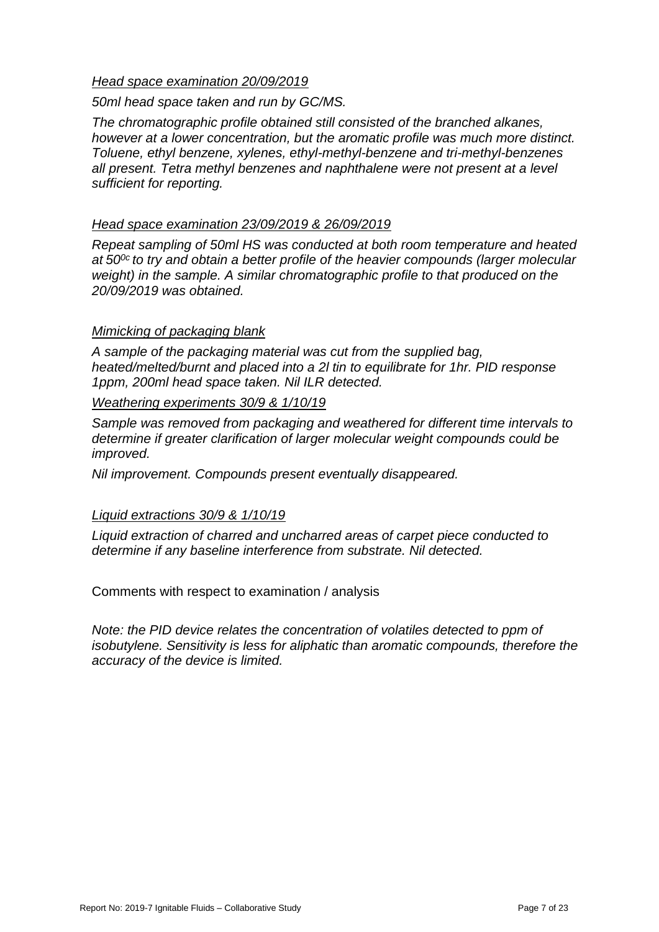#### *Head space examination 20/09/2019*

#### *50ml head space taken and run by GC/MS.*

*The chromatographic profile obtained still consisted of the branched alkanes, however at a lower concentration, but the aromatic profile was much more distinct. Toluene, ethyl benzene, xylenes, ethyl-methyl-benzene and tri-methyl-benzenes all present. Tetra methyl benzenes and naphthalene were not present at a level sufficient for reporting.* 

#### *Head space examination 23/09/2019 & 26/09/2019*

*Repeat sampling of 50ml HS was conducted at both room temperature and heated at 500c to try and obtain a better profile of the heavier compounds (larger molecular weight) in the sample. A similar chromatographic profile to that produced on the 20/09/2019 was obtained.*

#### *Mimicking of packaging blank*

*A sample of the packaging material was cut from the supplied bag, heated/melted/burnt and placed into a 2l tin to equilibrate for 1hr. PID response 1ppm, 200ml head space taken. Nil ILR detected.* 

#### *Weathering experiments 30/9 & 1/10/19*

*Sample was removed from packaging and weathered for different time intervals to determine if greater clarification of larger molecular weight compounds could be improved.*

*Nil improvement. Compounds present eventually disappeared.*

#### *Liquid extractions 30/9 & 1/10/19*

*Liquid extraction of charred and uncharred areas of carpet piece conducted to determine if any baseline interference from substrate. Nil detected.*

Comments with respect to examination / analysis

*Note: the PID device relates the concentration of volatiles detected to ppm of isobutylene. Sensitivity is less for aliphatic than aromatic compounds, therefore the accuracy of the device is limited.*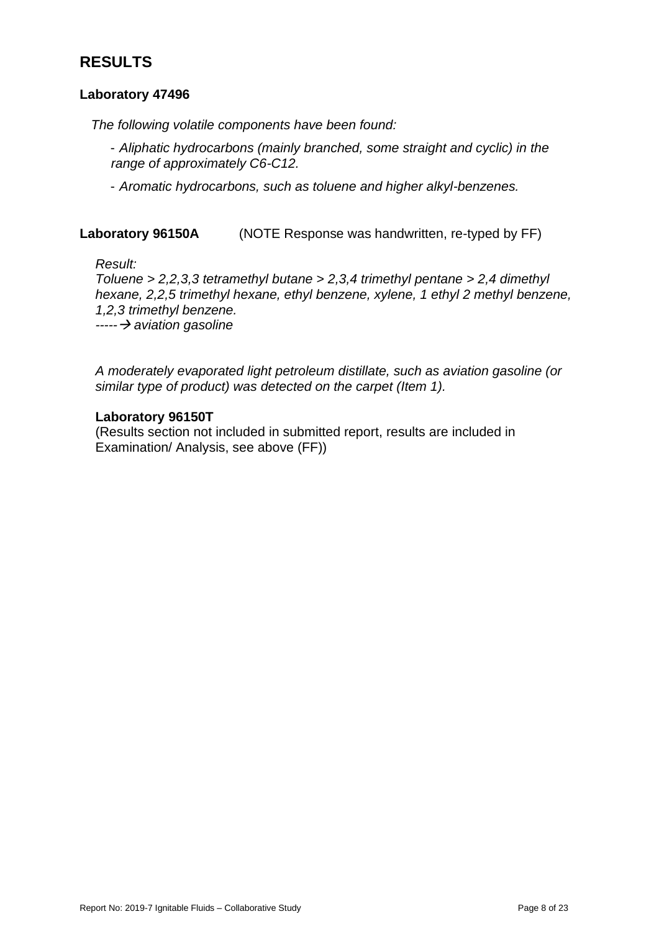## **RESULTS**

#### **Laboratory 47496**

*The following volatile components have been found:* 

- *Aliphatic hydrocarbons (mainly branched, some straight and cyclic) in the range of approximately C6-C12.*
- *Aromatic hydrocarbons, such as toluene and higher alkyl-benzenes.*

#### **Laboratory 96150A** (NOTE Response was handwritten, re-typed by FF)

#### *Result:*

*Toluene > 2,2,3,3 tetramethyl butane > 2,3,4 trimethyl pentane > 2,4 dimethyl hexane, 2,2,5 trimethyl hexane, ethyl benzene, xylene, 1 ethyl 2 methyl benzene, 1,2,3 trimethyl benzene. -----*→ *aviation gasoline*

*A moderately evaporated light petroleum distillate, such as aviation gasoline (or similar type of product) was detected on the carpet (Item 1).*

#### **Laboratory 96150T**

(Results section not included in submitted report, results are included in Examination/ Analysis, see above (FF))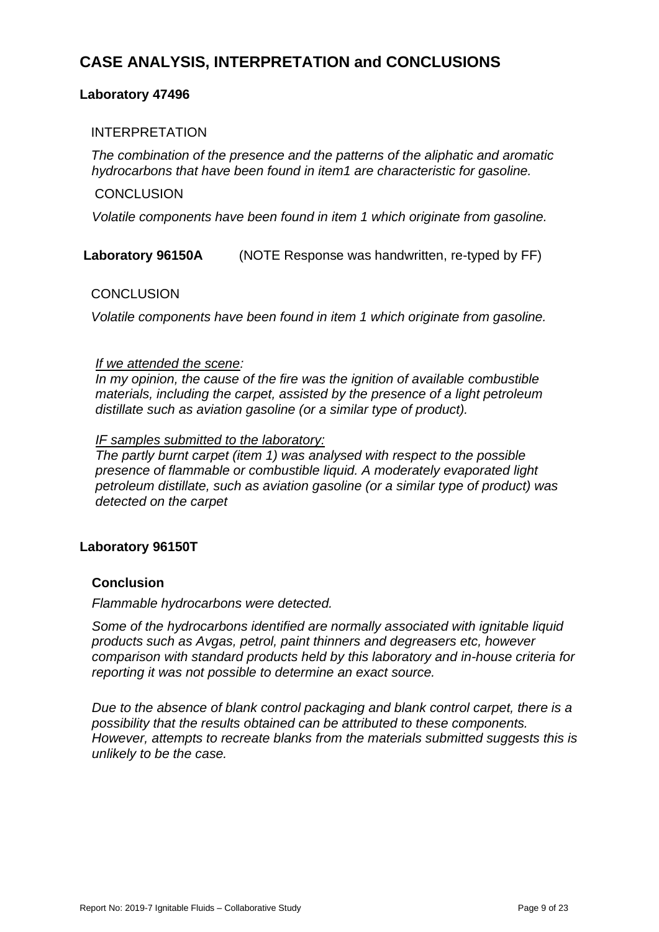## **CASE ANALYSIS, INTERPRETATION and CONCLUSIONS**

#### **Laboratory 47496**

#### INTERPRETATION

*The combination of the presence and the patterns of the aliphatic and aromatic hydrocarbons that have been found in item1 are characteristic for gasoline.* 

#### **CONCLUSION**

*Volatile components have been found in item 1 which originate from gasoline.*

**Laboratory 96150A** (NOTE Response was handwritten, re-typed by FF)

#### **CONCLUSION**

*Volatile components have been found in item 1 which originate from gasoline.* 

#### *If we attended the scene:*

*In my opinion, the cause of the fire was the ignition of available combustible materials, including the carpet, assisted by the presence of a light petroleum distillate such as aviation gasoline (or a similar type of product).*

#### *IF samples submitted to the laboratory:*

*The partly burnt carpet (item 1) was analysed with respect to the possible presence of flammable or combustible liquid. A moderately evaporated light petroleum distillate, such as aviation gasoline (or a similar type of product) was detected on the carpet*

#### **Laboratory 96150T**

#### **Conclusion**

*Flammable hydrocarbons were detected.* 

*Some of the hydrocarbons identified are normally associated with ignitable liquid products such as Avgas, petrol, paint thinners and degreasers etc, however comparison with standard products held by this laboratory and in-house criteria for reporting it was not possible to determine an exact source.*

*Due to the absence of blank control packaging and blank control carpet, there is a possibility that the results obtained can be attributed to these components. However, attempts to recreate blanks from the materials submitted suggests this is unlikely to be the case.*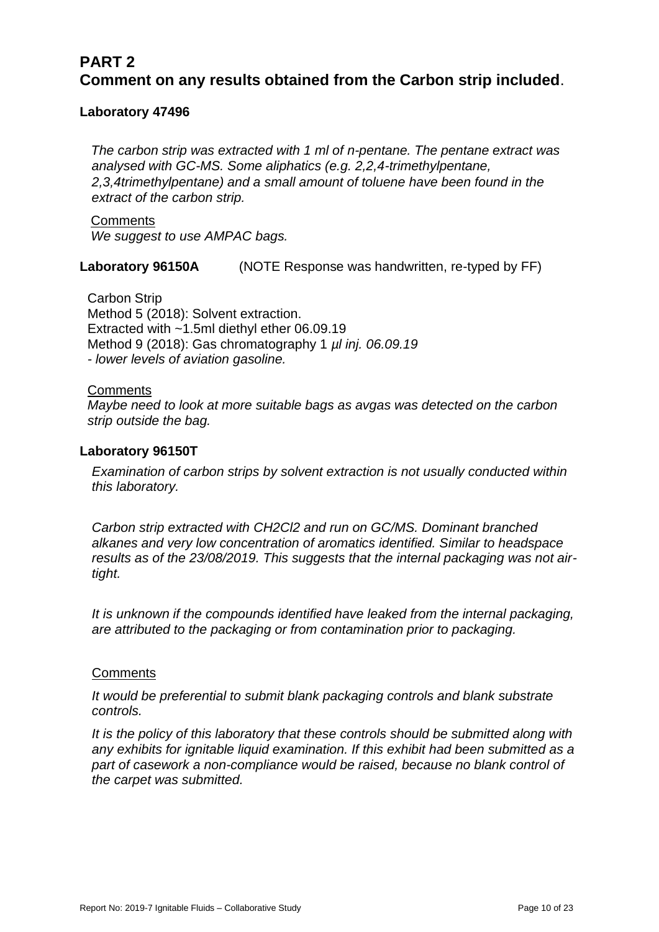## **PART 2 Comment on any results obtained from the Carbon strip included**.

#### **Laboratory 47496**

*The carbon strip was extracted with 1 ml of n-pentane. The pentane extract was analysed with GC-MS. Some aliphatics (e.g. 2,2,4-trimethylpentane, 2,3,4trimethylpentane) and a small amount of toluene have been found in the extract of the carbon strip.*

**Comments** *We suggest to use AMPAC bags.* 

**Laboratory 96150A** (NOTE Response was handwritten, re-typed by FF)

Carbon Strip Method 5 (2018): Solvent extraction. Extracted with ~1.5ml diethyl ether 06.09.19 Method 9 (2018): Gas chromatography 1 *µl inj. 06.09.19 - lower levels of aviation gasoline.*

#### **Comments**

*Maybe need to look at more suitable bags as avgas was detected on the carbon strip outside the bag.*

#### **Laboratory 96150T**

*Examination of carbon strips by solvent extraction is not usually conducted within this laboratory.*

*Carbon strip extracted with CH2Cl2 and run on GC/MS. Dominant branched alkanes and very low concentration of aromatics identified. Similar to headspace results as of the 23/08/2019. This suggests that the internal packaging was not airtight.*

*It is unknown if the compounds identified have leaked from the internal packaging, are attributed to the packaging or from contamination prior to packaging.*

#### **Comments**

*It would be preferential to submit blank packaging controls and blank substrate controls.*

*It is the policy of this laboratory that these controls should be submitted along with any exhibits for ignitable liquid examination. If this exhibit had been submitted as a*  part of casework a non-compliance would be raised, because no blank control of *the carpet was submitted.*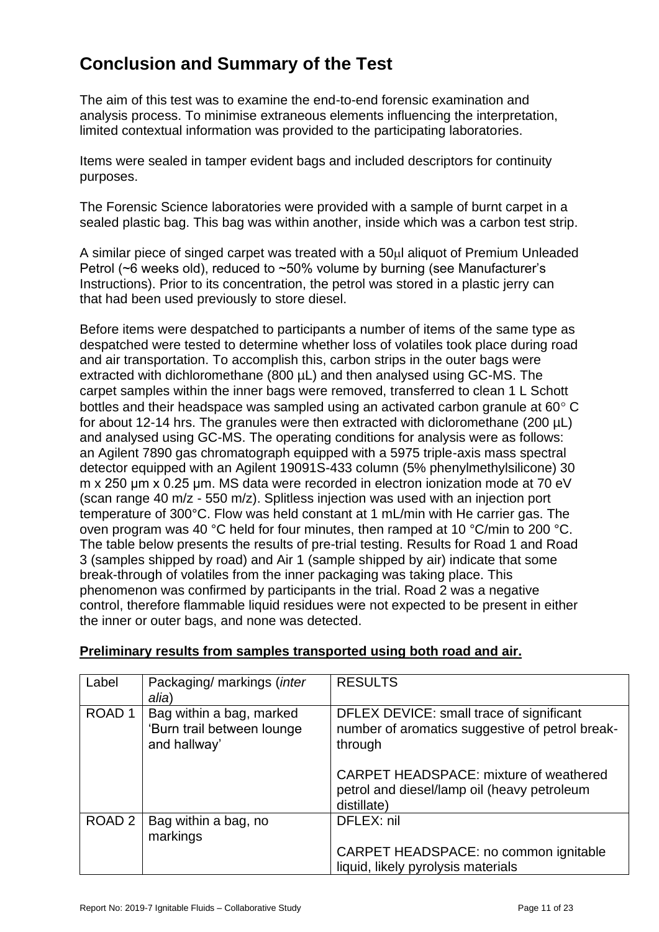## <span id="page-10-0"></span>**Conclusion and Summary of the Test**

The aim of this test was to examine the end-to-end forensic examination and analysis process. To minimise extraneous elements influencing the interpretation, limited contextual information was provided to the participating laboratories.

Items were sealed in tamper evident bags and included descriptors for continuity purposes.

The Forensic Science laboratories were provided with a sample of burnt carpet in a sealed plastic bag. This bag was within another, inside which was a carbon test strip.

A similar piece of singed carpet was treated with a  $50<sub>µ</sub>l$  aliquot of Premium Unleaded Petrol (~6 weeks old), reduced to ~50% volume by burning (see Manufacturer's Instructions). Prior to its concentration, the petrol was stored in a plastic jerry can that had been used previously to store diesel.

Before items were despatched to participants a number of items of the same type as despatched were tested to determine whether loss of volatiles took place during road and air transportation. To accomplish this, carbon strips in the outer bags were extracted with dichloromethane (800  $\mu$ L) and then analysed using GC-MS. The carpet samples within the inner bags were removed, transferred to clean 1 L Schott bottles and their headspace was sampled using an activated carbon granule at  $60^{\circ}$  C for about 12-14 hrs. The granules were then extracted with dicloromethane (200 µL) and analysed using GC-MS. The operating conditions for analysis were as follows: an Agilent 7890 gas chromatograph equipped with a 5975 triple-axis mass spectral detector equipped with an Agilent 19091S-433 column (5% phenylmethylsilicone) 30 m x 250 μm x 0.25 μm. MS data were recorded in electron ionization mode at 70 eV (scan range 40 m/z - 550 m/z). Splitless injection was used with an injection port temperature of 300°C. Flow was held constant at 1 mL/min with He carrier gas. The oven program was 40 °C held for four minutes, then ramped at 10 °C/min to 200 °C. The table below presents the results of pre-trial testing. Results for Road 1 and Road 3 (samples shipped by road) and Air 1 (sample shipped by air) indicate that some break-through of volatiles from the inner packaging was taking place. This phenomenon was confirmed by participants in the trial. Road 2 was a negative control, therefore flammable liquid residues were not expected to be present in either the inner or outer bags, and none was detected.

| Label             | Packaging/ markings ( <i>inter</i><br>alia)                            | <b>RESULTS</b>                                                                                              |  |  |
|-------------------|------------------------------------------------------------------------|-------------------------------------------------------------------------------------------------------------|--|--|
| ROAD <sub>1</sub> | Bag within a bag, marked<br>'Burn trail between lounge<br>and hallway' | DFLEX DEVICE: small trace of significant<br>number of aromatics suggestive of petrol break-<br>through      |  |  |
|                   |                                                                        | <b>CARPET HEADSPACE: mixture of weathered</b><br>petrol and diesel/lamp oil (heavy petroleum<br>distillate) |  |  |
| ROAD <sub>2</sub> | Bag within a bag, no<br>markings                                       | DFLEX: nil                                                                                                  |  |  |
|                   |                                                                        | CARPET HEADSPACE: no common ignitable<br>liquid, likely pyrolysis materials                                 |  |  |

#### **Preliminary results from samples transported using both road and air.**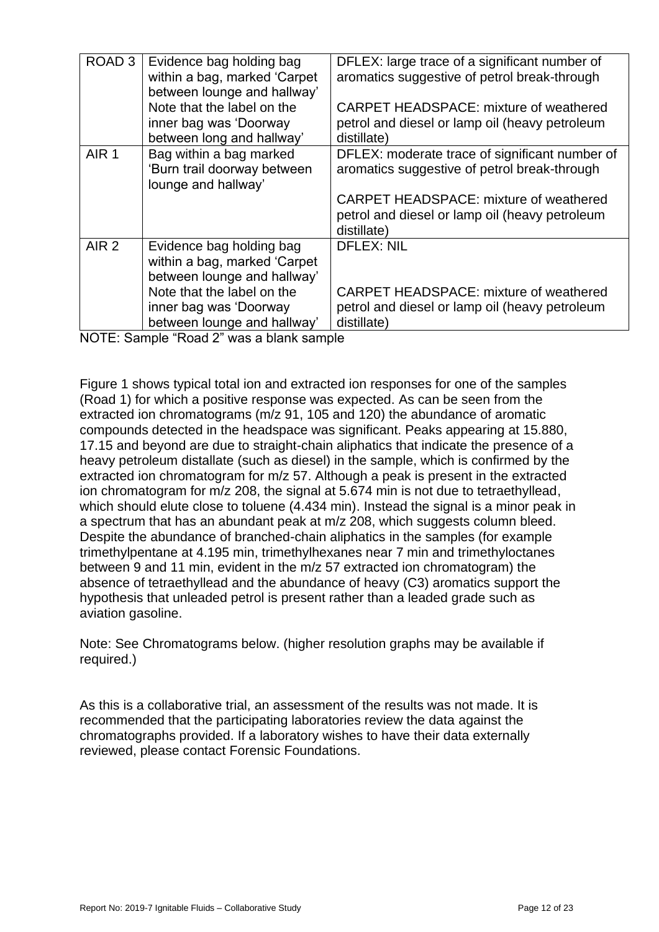| ROAD <sub>3</sub> | Evidence bag holding bag<br>within a bag, marked 'Carpet<br>between lounge and hallway' | DFLEX: large trace of a significant number of<br>aromatics suggestive of petrol break-through                                                                                                     |  |
|-------------------|-----------------------------------------------------------------------------------------|---------------------------------------------------------------------------------------------------------------------------------------------------------------------------------------------------|--|
|                   | Note that the label on the<br>inner bag was 'Doorway<br>between long and hallway'       | <b>CARPET HEADSPACE: mixture of weathered</b><br>petrol and diesel or lamp oil (heavy petroleum<br>distillate)                                                                                    |  |
| AIR 1             | Bag within a bag marked<br>'Burn trail doorway between<br>lounge and hallway'           | DFLEX: moderate trace of significant number of<br>aromatics suggestive of petrol break-through<br><b>CARPET HEADSPACE: mixture of weathered</b><br>petrol and diesel or lamp oil (heavy petroleum |  |
|                   |                                                                                         | distillate)                                                                                                                                                                                       |  |
| AIR <sub>2</sub>  | Evidence bag holding bag<br>within a bag, marked 'Carpet<br>between lounge and hallway' | <b>DFLEX: NIL</b>                                                                                                                                                                                 |  |
|                   | Note that the label on the<br>inner bag was 'Doorway<br>between lounge and hallway'     | <b>CARPET HEADSPACE: mixture of weathered</b><br>petrol and diesel or lamp oil (heavy petroleum<br>distillate)                                                                                    |  |
|                   |                                                                                         |                                                                                                                                                                                                   |  |

NOTE: Sample "Road 2" was a blank sample

Figure 1 shows typical total ion and extracted ion responses for one of the samples (Road 1) for which a positive response was expected. As can be seen from the extracted ion chromatograms (m/z 91, 105 and 120) the abundance of aromatic compounds detected in the headspace was significant. Peaks appearing at 15.880, 17.15 and beyond are due to straight-chain aliphatics that indicate the presence of a heavy petroleum distallate (such as diesel) in the sample, which is confirmed by the extracted ion chromatogram for m/z 57. Although a peak is present in the extracted ion chromatogram for m/z 208, the signal at 5.674 min is not due to tetraethyllead, which should elute close to toluene (4.434 min). Instead the signal is a minor peak in a spectrum that has an abundant peak at m/z 208, which suggests column bleed. Despite the abundance of branched-chain aliphatics in the samples (for example trimethylpentane at 4.195 min, trimethylhexanes near 7 min and trimethyloctanes between 9 and 11 min, evident in the m/z 57 extracted ion chromatogram) the absence of tetraethyllead and the abundance of heavy (C3) aromatics support the hypothesis that unleaded petrol is present rather than a leaded grade such as aviation gasoline.

Note: See Chromatograms below. (higher resolution graphs may be available if required.)

As this is a collaborative trial, an assessment of the results was not made. It is recommended that the participating laboratories review the data against the chromatographs provided. If a laboratory wishes to have their data externally reviewed, please contact Forensic Foundations.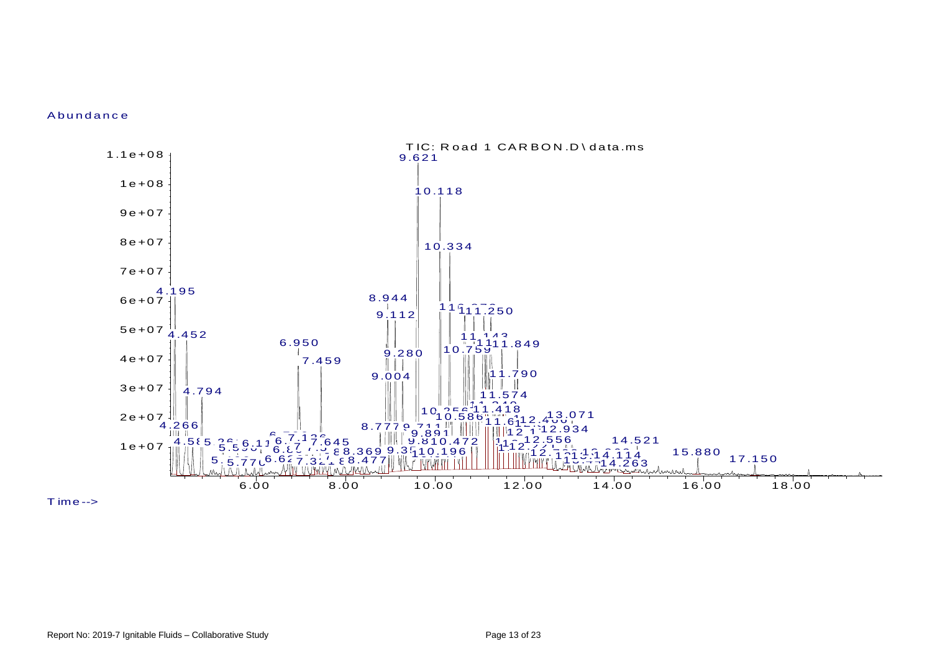#### **Abundance**



T ime -->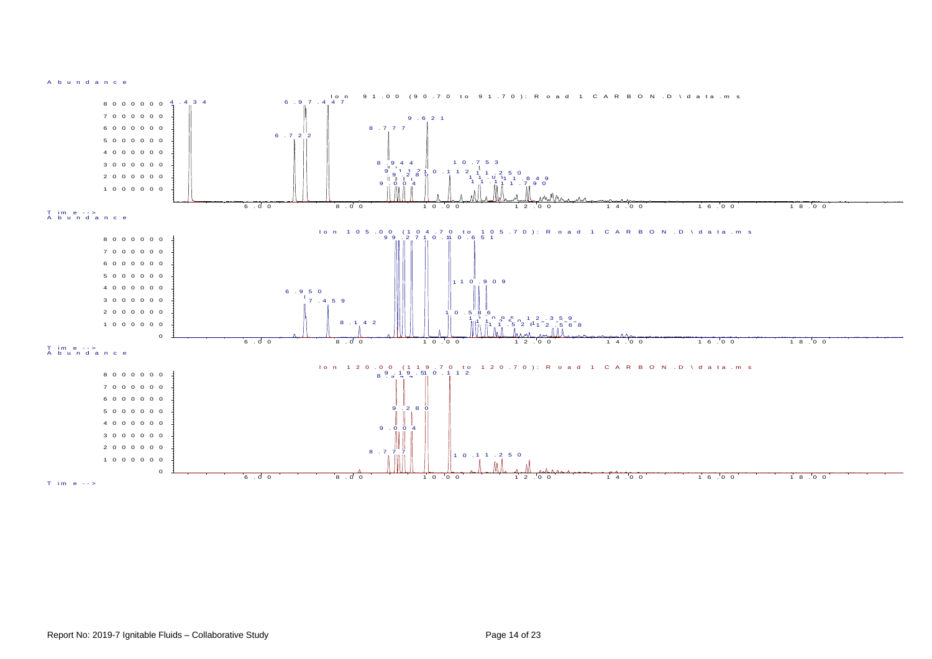

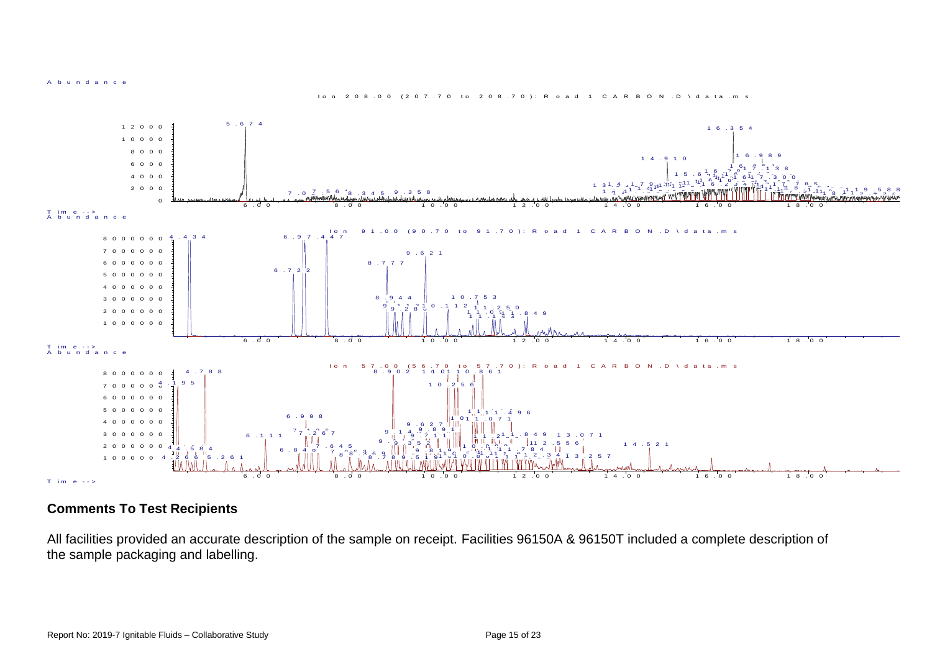A b u n d a n c e

I on 208.00 (207.70 to 208.70): Road 1 CARBON .D\data.ms



#### **Comments To Test Recipients**

All facilities provided an accurate description of the sample on receipt. Facilities 96150A & 96150T included a complete description of the sample packaging and labelling.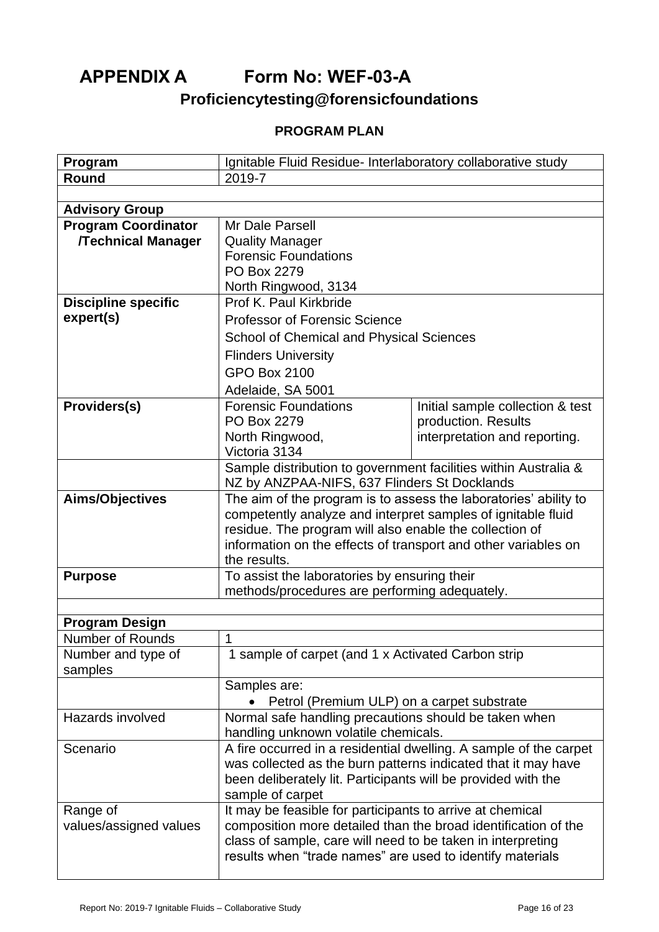<span id="page-15-0"></span>**APPENDIX A Form No: WEF-03-A**

## **Proficiencytesting@forensicfoundations**

## **PROGRAM PLAN**

| Program                    | Ignitable Fluid Residue- Interlaboratory collaborative study                                                              |                                  |  |  |
|----------------------------|---------------------------------------------------------------------------------------------------------------------------|----------------------------------|--|--|
| Round                      | 2019-7                                                                                                                    |                                  |  |  |
|                            |                                                                                                                           |                                  |  |  |
| <b>Advisory Group</b>      |                                                                                                                           |                                  |  |  |
| <b>Program Coordinator</b> | Mr Dale Parsell                                                                                                           |                                  |  |  |
| <b>/Technical Manager</b>  | <b>Quality Manager</b>                                                                                                    |                                  |  |  |
|                            | <b>Forensic Foundations</b>                                                                                               |                                  |  |  |
|                            | PO Box 2279                                                                                                               |                                  |  |  |
|                            | North Ringwood, 3134                                                                                                      |                                  |  |  |
| <b>Discipline specific</b> | Prof K. Paul Kirkbride                                                                                                    |                                  |  |  |
| expert(s)                  | <b>Professor of Forensic Science</b>                                                                                      |                                  |  |  |
|                            | <b>School of Chemical and Physical Sciences</b>                                                                           |                                  |  |  |
|                            | <b>Flinders University</b>                                                                                                |                                  |  |  |
|                            | <b>GPO Box 2100</b>                                                                                                       |                                  |  |  |
|                            | Adelaide, SA 5001                                                                                                         |                                  |  |  |
| Providers(s)               | <b>Forensic Foundations</b>                                                                                               | Initial sample collection & test |  |  |
|                            | PO Box 2279                                                                                                               | production. Results              |  |  |
|                            | North Ringwood,                                                                                                           | interpretation and reporting.    |  |  |
|                            | Victoria 3134                                                                                                             |                                  |  |  |
|                            | Sample distribution to government facilities within Australia &                                                           |                                  |  |  |
|                            | NZ by ANZPAA-NIFS, 637 Flinders St Docklands                                                                              |                                  |  |  |
| Aims/Objectives            | The aim of the program is to assess the laboratories' ability to                                                          |                                  |  |  |
|                            | competently analyze and interpret samples of ignitable fluid                                                              |                                  |  |  |
|                            | residue. The program will also enable the collection of<br>information on the effects of transport and other variables on |                                  |  |  |
|                            | the results.                                                                                                              |                                  |  |  |
| <b>Purpose</b>             |                                                                                                                           |                                  |  |  |
|                            | To assist the laboratories by ensuring their<br>methods/procedures are performing adequately.                             |                                  |  |  |
|                            |                                                                                                                           |                                  |  |  |
| <b>Program Design</b>      |                                                                                                                           |                                  |  |  |
| <b>Number of Rounds</b>    | 1                                                                                                                         |                                  |  |  |
| Number and type of         | 1 sample of carpet (and 1 x Activated Carbon strip                                                                        |                                  |  |  |
| samples                    |                                                                                                                           |                                  |  |  |
|                            | Samples are:                                                                                                              |                                  |  |  |
|                            | Petrol (Premium ULP) on a carpet substrate                                                                                |                                  |  |  |
| Hazards involved           | Normal safe handling precautions should be taken when                                                                     |                                  |  |  |
|                            | handling unknown volatile chemicals.                                                                                      |                                  |  |  |
| Scenario                   | A fire occurred in a residential dwelling. A sample of the carpet                                                         |                                  |  |  |
|                            | was collected as the burn patterns indicated that it may have                                                             |                                  |  |  |
|                            | been deliberately lit. Participants will be provided with the                                                             |                                  |  |  |
|                            | sample of carpet                                                                                                          |                                  |  |  |
| Range of                   | It may be feasible for participants to arrive at chemical                                                                 |                                  |  |  |
| values/assigned values     | composition more detailed than the broad identification of the                                                            |                                  |  |  |
|                            | class of sample, care will need to be taken in interpreting<br>results when "trade names" are used to identify materials  |                                  |  |  |
|                            |                                                                                                                           |                                  |  |  |
|                            |                                                                                                                           |                                  |  |  |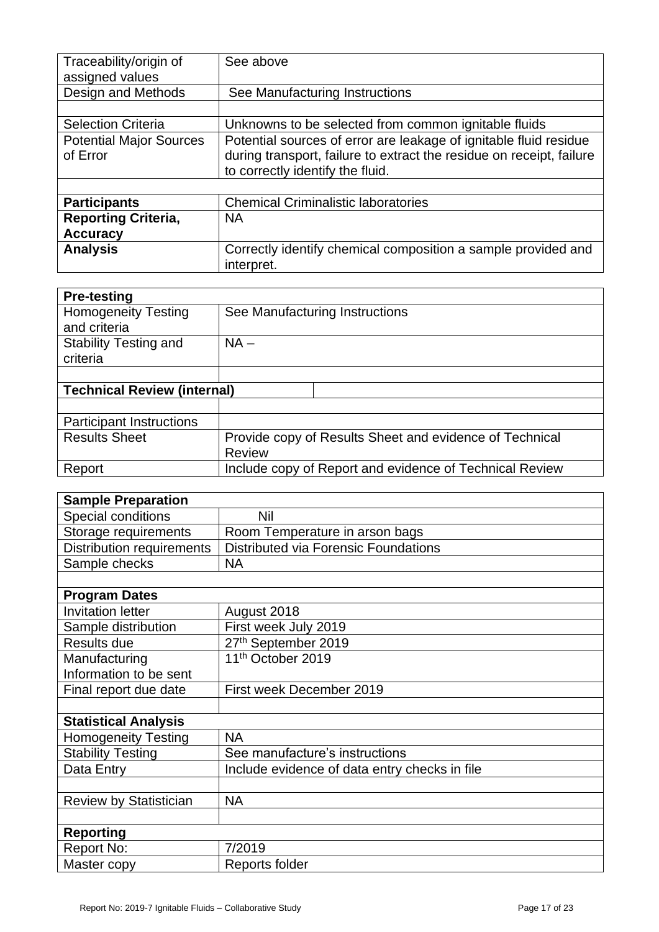| Traceability/origin of<br>assigned values | See above                                                                   |
|-------------------------------------------|-----------------------------------------------------------------------------|
| Design and Methods                        | See Manufacturing Instructions                                              |
|                                           |                                                                             |
| <b>Selection Criteria</b>                 | Unknowns to be selected from common ignitable fluids                        |
| <b>Potential Major Sources</b>            | Potential sources of error are leakage of ignitable fluid residue           |
| of Error                                  | during transport, failure to extract the residue on receipt, failure        |
|                                           | to correctly identify the fluid.                                            |
|                                           |                                                                             |
| <b>Participants</b>                       | <b>Chemical Criminalistic laboratories</b>                                  |
| <b>Reporting Criteria,</b>                | <b>NA</b>                                                                   |
| <b>Accuracy</b>                           |                                                                             |
| <b>Analysis</b>                           | Correctly identify chemical composition a sample provided and<br>interpret. |

| <b>Pre-testing</b>                         |                                                                          |  |  |  |
|--------------------------------------------|--------------------------------------------------------------------------|--|--|--|
| <b>Homogeneity Testing</b><br>and criteria | See Manufacturing Instructions                                           |  |  |  |
| <b>Stability Testing and</b><br>criteria   | $NA -$                                                                   |  |  |  |
|                                            |                                                                          |  |  |  |
| <b>Technical Review (internal)</b>         |                                                                          |  |  |  |
|                                            |                                                                          |  |  |  |
| <b>Participant Instructions</b>            |                                                                          |  |  |  |
| <b>Results Sheet</b>                       | Provide copy of Results Sheet and evidence of Technical<br><b>Review</b> |  |  |  |
| Report                                     | Include copy of Report and evidence of Technical Review                  |  |  |  |

| <b>Sample Preparation</b> |                                      |
|---------------------------|--------------------------------------|
| <b>Special conditions</b> | Nil                                  |
| Storage requirements      | Room Temperature in arson bags       |
| Distribution requirements | Distributed via Forensic Foundations |
| Sample checks             | <b>NA</b>                            |
|                           |                                      |

| <b>Program Dates</b>          |                                               |
|-------------------------------|-----------------------------------------------|
| <b>Invitation letter</b>      | August 2018                                   |
| Sample distribution           | First week July 2019                          |
| Results due                   | 27th September 2019                           |
| Manufacturing                 | 11 <sup>th</sup> October 2019                 |
| Information to be sent        |                                               |
| Final report due date         | First week December 2019                      |
|                               |                                               |
| <b>Statistical Analysis</b>   |                                               |
| <b>Homogeneity Testing</b>    | <b>NA</b>                                     |
| <b>Stability Testing</b>      | See manufacture's instructions                |
| Data Entry                    | Include evidence of data entry checks in file |
|                               |                                               |
| <b>Review by Statistician</b> | <b>NA</b>                                     |
|                               |                                               |
| <b>Reporting</b>              |                                               |
| Report No:                    | 7/2019                                        |
| Master copy                   | Reports folder                                |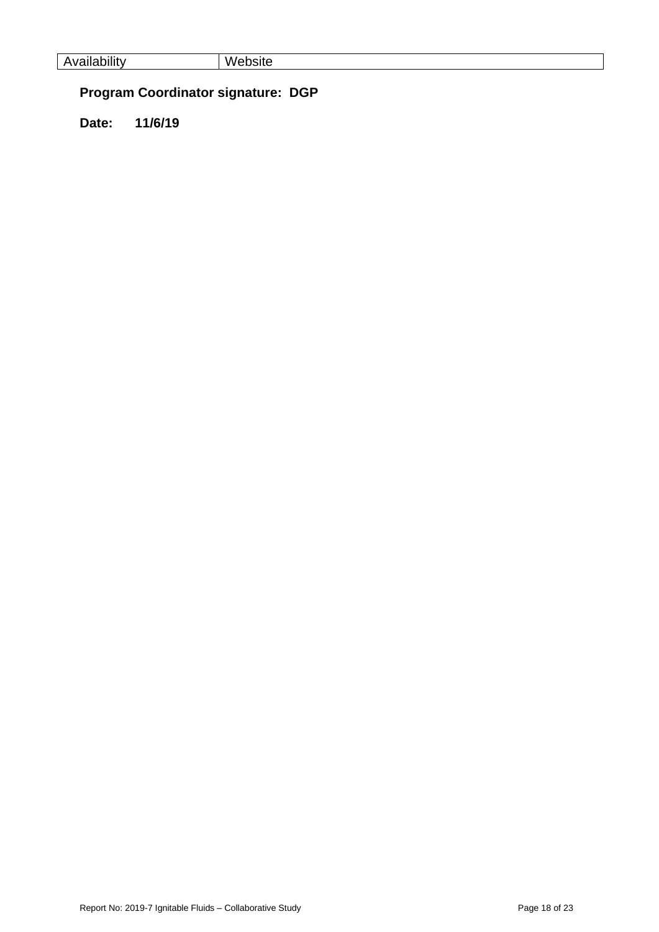## **Program Coordinator signature: DGP**

**Date: 11/6/19**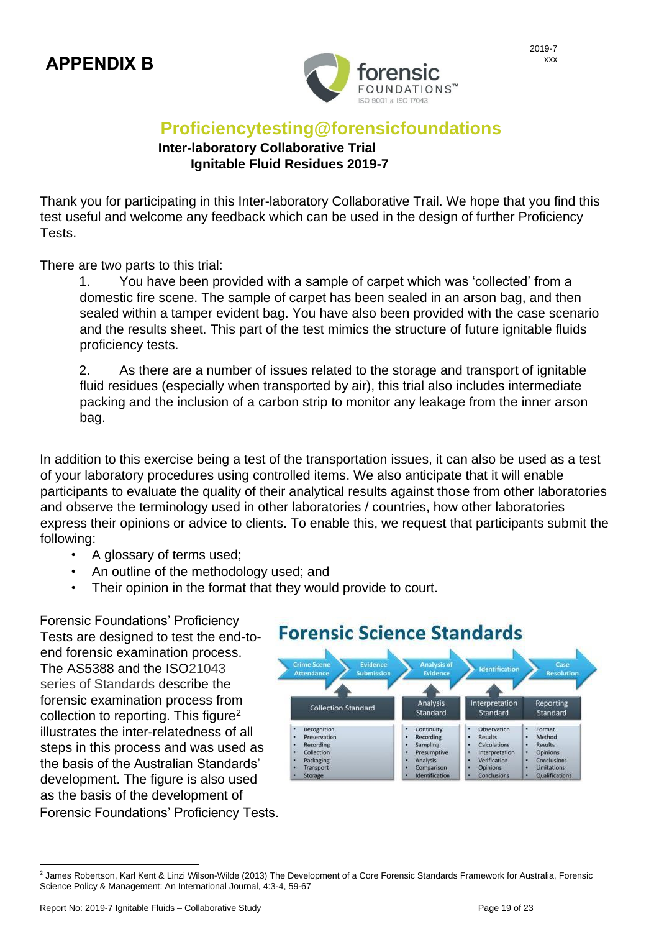

## <span id="page-18-0"></span>**Proficiencytesting@forensicfoundations**

#### **Inter-laboratory Collaborative Trial Ignitable Fluid Residues 2019-7**

Thank you for participating in this Inter-laboratory Collaborative Trail. We hope that you find this test useful and welcome any feedback which can be used in the design of further Proficiency Tests.

There are two parts to this trial:

1. You have been provided with a sample of carpet which was 'collected' from a domestic fire scene. The sample of carpet has been sealed in an arson bag, and then sealed within a tamper evident bag. You have also been provided with the case scenario and the results sheet. This part of the test mimics the structure of future ignitable fluids proficiency tests.

2. As there are a number of issues related to the storage and transport of ignitable fluid residues (especially when transported by air), this trial also includes intermediate packing and the inclusion of a carbon strip to monitor any leakage from the inner arson bag.

In addition to this exercise being a test of the transportation issues, it can also be used as a test of your laboratory procedures using controlled items. We also anticipate that it will enable participants to evaluate the quality of their analytical results against those from other laboratories and observe the terminology used in other laboratories / countries, how other laboratories express their opinions or advice to clients. To enable this, we request that participants submit the following:

- A glossary of terms used;
- An outline of the methodology used; and
- Their opinion in the format that they would provide to court.

Forensic Foundations' Proficiency Tests are designed to test the end-toend forensic examination process. The AS5388 and the ISO21043 series of Standards describe the forensic examination process from collection to reporting. This figure<sup>2</sup> illustrates the inter-relatedness of all steps in this process and was used as the basis of the Australian Standards' development. The figure is also used as the basis of the development of Forensic Foundations' Proficiency Tests.



<sup>2</sup> James Robertson, Karl Kent & Linzi Wilson-Wilde (2013) The Development of a Core Forensic Standards Framework for Australia, Forensic Science Policy & Management: An International Journal, 4:3-4, 59-67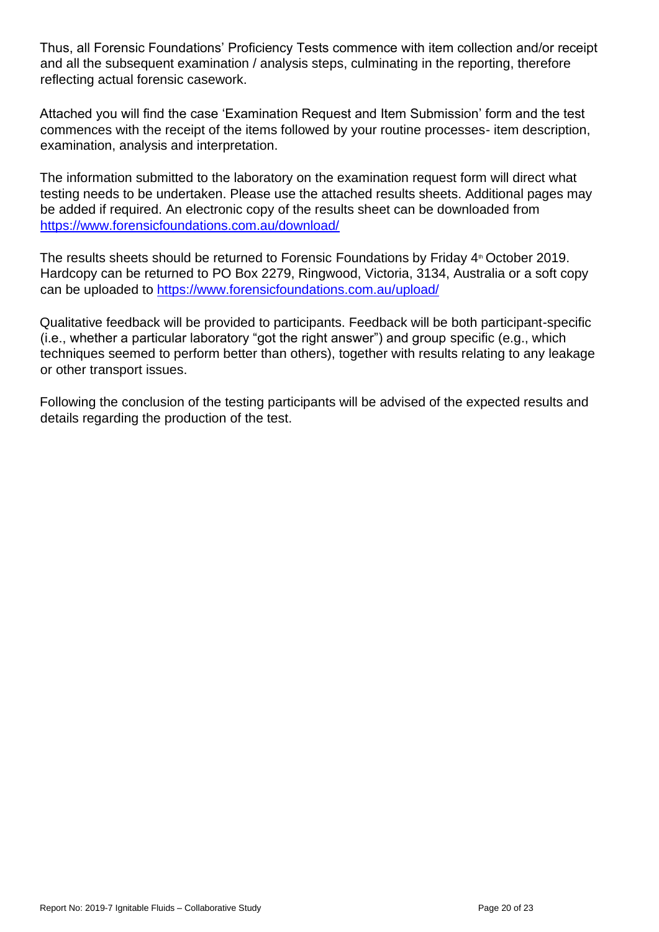Thus, all Forensic Foundations' Proficiency Tests commence with item collection and/or receipt and all the subsequent examination / analysis steps, culminating in the reporting, therefore reflecting actual forensic casework.

Attached you will find the case 'Examination Request and Item Submission' form and the test commences with the receipt of the items followed by your routine processes- item description, examination, analysis and interpretation.

The information submitted to the laboratory on the examination request form will direct what testing needs to be undertaken. Please use the attached results sheets. Additional pages may be added if required. An electronic copy of the results sheet can be downloaded from <https://www.forensicfoundations.com.au/download/>

The results sheets should be returned to Forensic Foundations by Friday 4<sup>th</sup> October 2019. Hardcopy can be returned to PO Box 2279, Ringwood, Victoria, 3134, Australia or a soft copy can be uploaded to<https://www.forensicfoundations.com.au/upload/>

Qualitative feedback will be provided to participants. Feedback will be both participant-specific (i.e., whether a particular laboratory "got the right answer") and group specific (e.g., which techniques seemed to perform better than others), together with results relating to any leakage or other transport issues.

Following the conclusion of the testing participants will be advised of the expected results and details regarding the production of the test.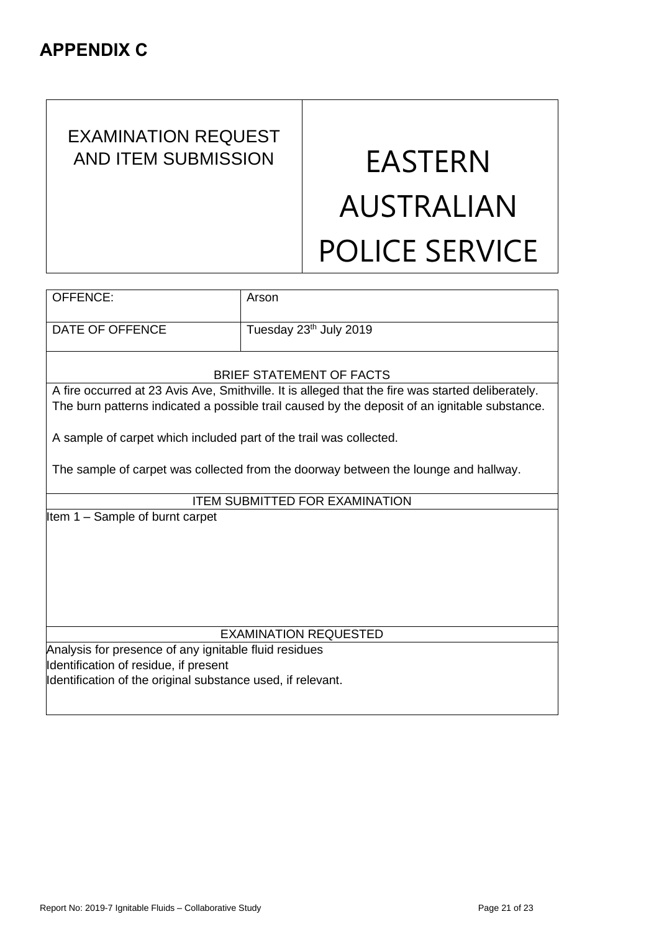## <span id="page-20-0"></span>EXAMINATION REQUEST AND ITEM SUBMISSION | EASTERN

# AUSTRALIAN POLICE SERVICE

| OFFENCE:                                                           | Arson                                                                                                                                                                                              |  |
|--------------------------------------------------------------------|----------------------------------------------------------------------------------------------------------------------------------------------------------------------------------------------------|--|
| DATE OF OFFENCE                                                    | Tuesday 23 <sup>th</sup> July 2019                                                                                                                                                                 |  |
|                                                                    | <b>BRIEF STATEMENT OF FACTS</b>                                                                                                                                                                    |  |
|                                                                    | A fire occurred at 23 Avis Ave, Smithville. It is alleged that the fire was started deliberately.<br>The burn patterns indicated a possible trail caused by the deposit of an ignitable substance. |  |
| A sample of carpet which included part of the trail was collected. |                                                                                                                                                                                                    |  |
|                                                                    | The sample of carpet was collected from the doorway between the lounge and hallway.                                                                                                                |  |
|                                                                    | <b>ITEM SUBMITTED FOR EXAMINATION</b>                                                                                                                                                              |  |
| Item 1 – Sample of burnt carpet                                    |                                                                                                                                                                                                    |  |
|                                                                    | <b>EXAMINATION REQUESTED</b>                                                                                                                                                                       |  |
| Analysis for presence of any ignitable fluid residues              |                                                                                                                                                                                                    |  |
| Identification of residue, if present                              |                                                                                                                                                                                                    |  |
| Identification of the original substance used, if relevant.        |                                                                                                                                                                                                    |  |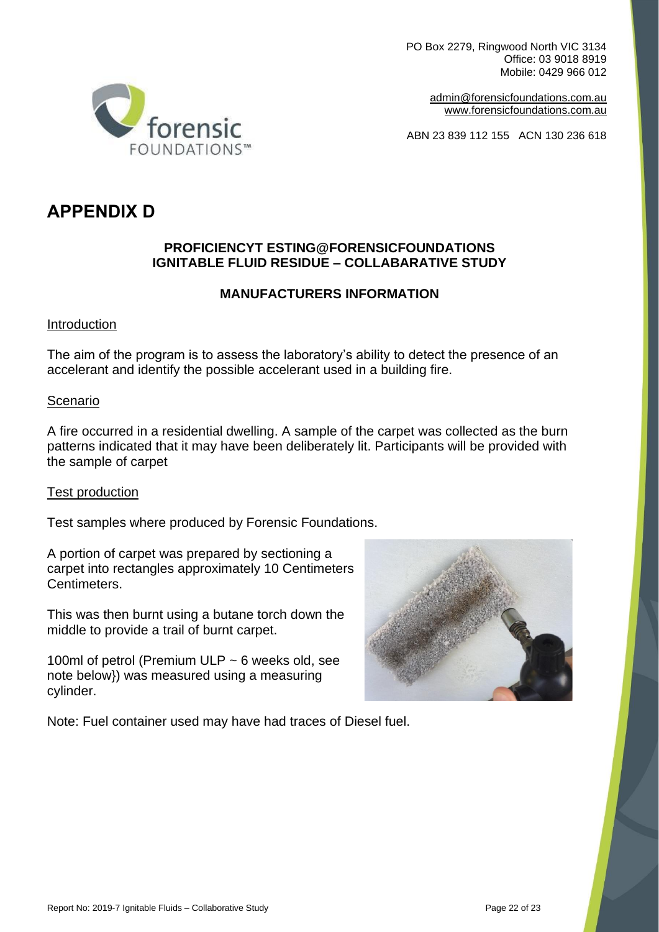

[admin@forensicfoundations.com.au](mailto:anna.davey@forensicfoundations.com.auwww.forensicfoundations.com.au) [www.forensicfoundations.com.au](mailto:anna.davey@forensicfoundations.com.auwww.forensicfoundations.com.au)

ABN 23 839 112 155 ACN 130 236 618



## <span id="page-21-0"></span>**APPENDIX D**

#### **PROFICIENCYT ESTING@FORENSICFOUNDATIONS IGNITABLE FLUID RESIDUE – COLLABARATIVE STUDY**

#### **MANUFACTURERS INFORMATION**

#### Introduction

The aim of the program is to assess the laboratory's ability to detect the presence of an accelerant and identify the possible accelerant used in a building fire.

#### Scenario

A fire occurred in a residential dwelling. A sample of the carpet was collected as the burn patterns indicated that it may have been deliberately lit. Participants will be provided with the sample of carpet

#### Test production

Test samples where produced by Forensic Foundations.

A portion of carpet was prepared by sectioning a carpet into rectangles approximately 10 Centimeters Centimeters.

This was then burnt using a butane torch down the middle to provide a trail of burnt carpet.

100ml of petrol (Premium ULP  $\sim$  6 weeks old, see note below}) was measured using a measuring cylinder.



Note: Fuel container used may have had traces of Diesel fuel.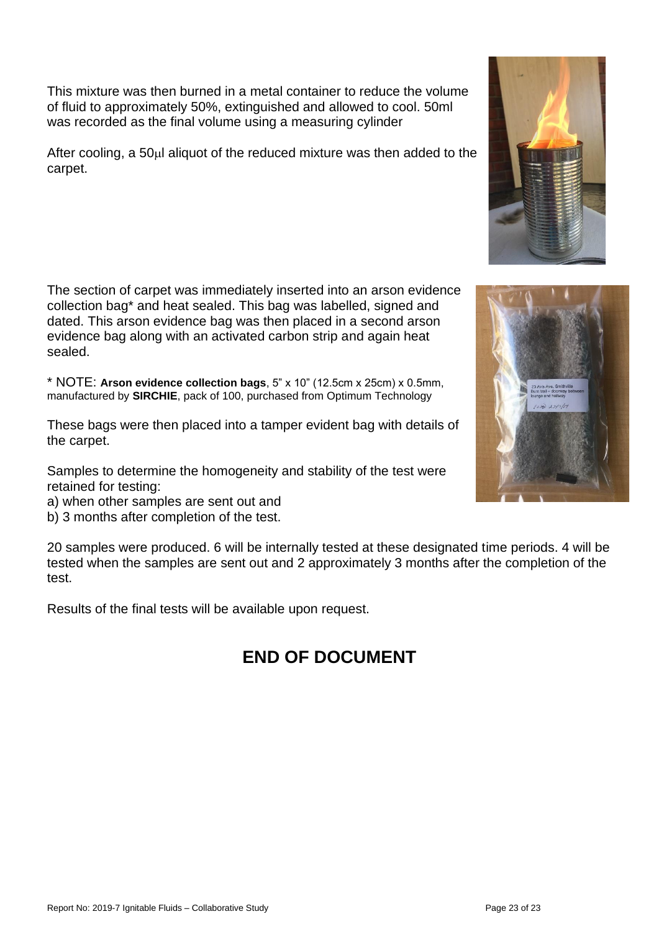This mixture was then burned in a metal container to reduce the volume of fluid to approximately 50%, extinguished and allowed to cool. 50ml was recorded as the final volume using a measuring cylinder

After cooling, a 50ul aliquot of the reduced mixture was then added to the carpet.

The section of carpet was immediately inserted into an arson evidence collection bag\* and heat sealed. This bag was labelled, signed and dated. This arson evidence bag was then placed in a second arson evidence bag along with an activated carbon strip and again heat sealed.

\* NOTE: **Arson evidence collection bags**, 5" x 10" (12.5cm x 25cm) x 0.5mm, manufactured by **SIRCHIE**, pack of 100, purchased from Optimum Technology

These bags were then placed into a tamper evident bag with details of the carpet.

Samples to determine the homogeneity and stability of the test were retained for testing:

- a) when other samples are sent out and
- b) 3 months after completion of the test.

20 samples were produced. 6 will be internally tested at these designated time periods. 4 will be tested when the samples are sent out and 2 approximately 3 months after the completion of the test.

Results of the final tests will be available upon request.

## **END OF DOCUMENT**



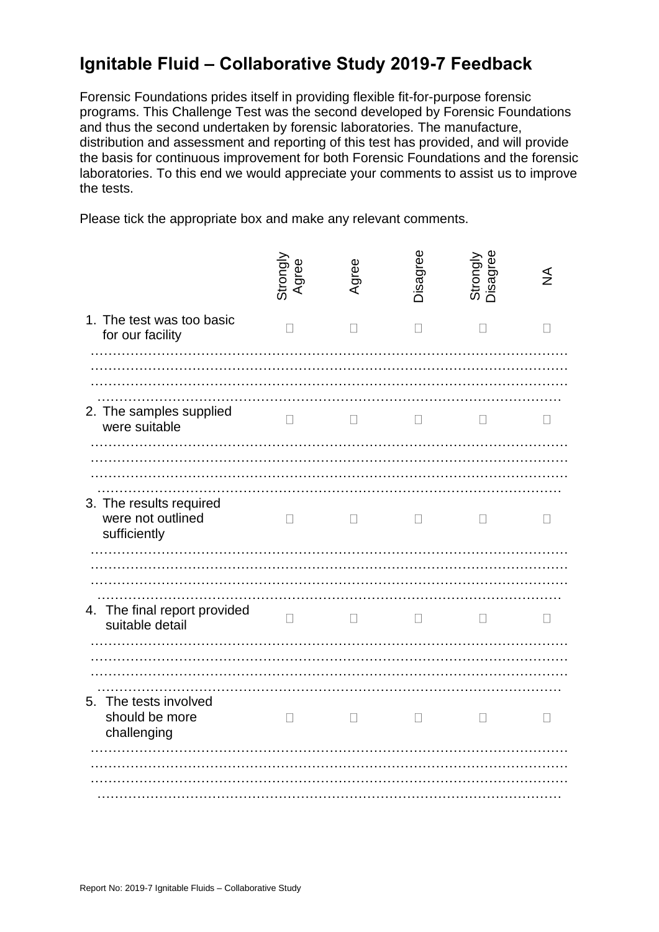## <span id="page-23-0"></span>**Ignitable Fluid – Collaborative Study 2019-7 Feedback**

Forensic Foundations prides itself in providing flexible fit-for-purpose forensic programs. This Challenge Test was the second developed by Forensic Foundations and thus the second undertaken by forensic laboratories. The manufacture, distribution and assessment and reporting of this test has provided, and will provide the basis for continuous improvement for both Forensic Foundations and the forensic laboratories. To this end we would appreciate your comments to assist us to improve the tests.

Please tick the appropriate box and make any relevant comments.

|                                                              | Strongly<br>Agree | gree         | Disagree | Strongly<br>Disagree | ⋚            |
|--------------------------------------------------------------|-------------------|--------------|----------|----------------------|--------------|
| 1. The test was too basic<br>for our facility                |                   |              | П        | $\Box$               |              |
|                                                              |                   |              |          |                      |              |
| 2. The samples supplied<br>were suitable                     | П                 | П            | П        | $\mathbf{L}$         |              |
|                                                              |                   |              |          |                      |              |
| 3. The results required<br>were not outlined<br>sufficiently | П                 | П            | $\Box$   | Ш                    | $\mathsf{L}$ |
|                                                              |                   |              |          |                      |              |
| 4. The final report provided<br>suitable detail              | $\Box$            | $\Box$       | $\Box$   | $\Box$               | $\mathbf{L}$ |
|                                                              |                   |              |          |                      |              |
| 5. The tests involved<br>should be more<br>challenging       | $\Box$            | $\mathbf{L}$ | $\Box$   | $\mathsf{L}$         |              |
|                                                              |                   |              |          |                      |              |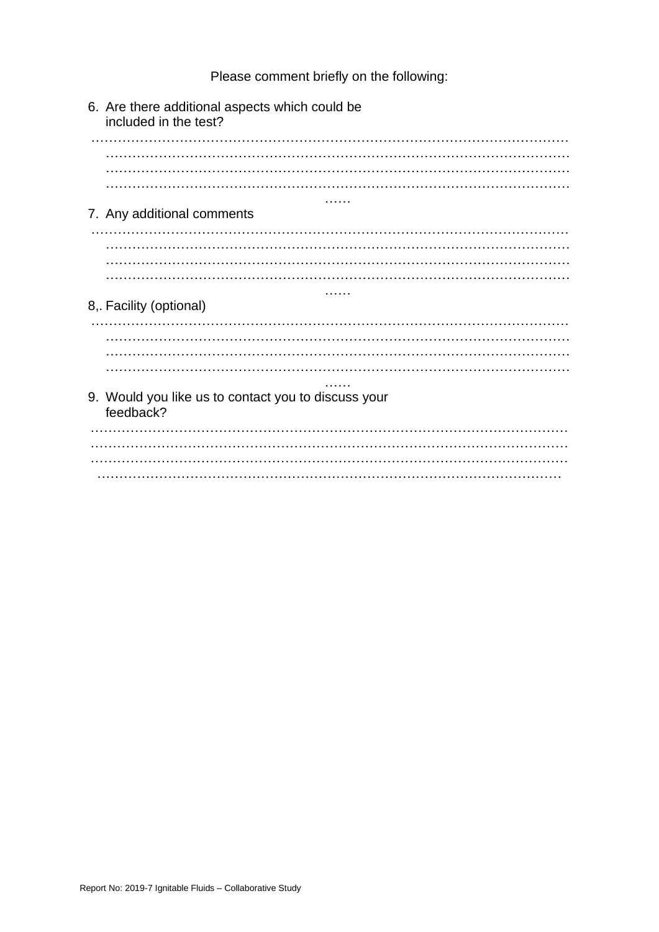Please comment briefly on the following:

6. Are there additional aspects which could be included in the test?  $1.1.1.1$ 7. Any additional comments . . . . . . 8, Facility (optional) . . . . . . 9. Would you like us to contact you to discuss your feedback?